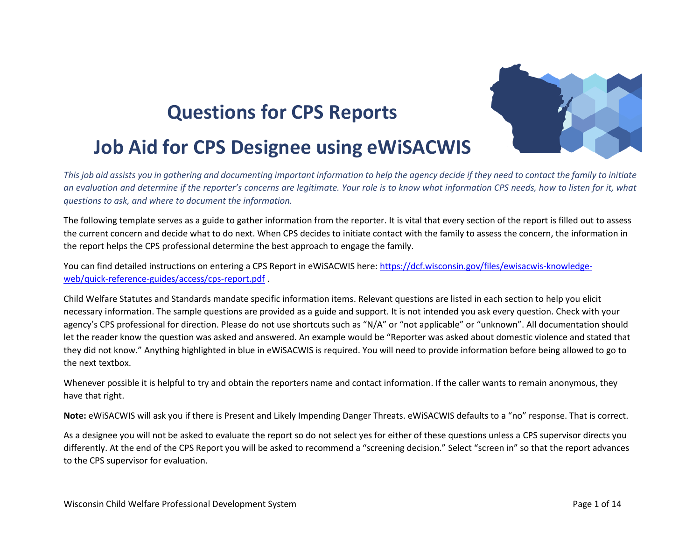## **Questions for CPS Reports**



## **Job Aid for CPS Designee using eWiSACWIS**

*This job aid assists you in gathering and documenting important information to help the agency decide if they need to contact the family to initiate an evaluation and determine if the reporter's concerns are legitimate. Your role is to know what information CPS needs, how to listen for it, what questions to ask, and where to document the information.*

The following template serves as a guide to gather information from the reporter. It is vital that every section of the report is filled out to assess the current concern and decide what to do next. When CPS decides to initiate contact with the family to assess the concern, the information in the report helps the CPS professional determine the best approach to engage the family.

You can find detailed instructions on entering a CPS Report in eWiSACWIS here: [https://dcf.wisconsin.gov/files/ewisacwis-knowledge](https://dcf.wisconsin.gov/files/ewisacwis-knowledge-web/quick-reference-guides/access/cps-report.pdf)[web/quick-reference-guides/access/cps-report.pdf](https://dcf.wisconsin.gov/files/ewisacwis-knowledge-web/quick-reference-guides/access/cps-report.pdf) .

Child Welfare Statutes and Standards mandate specific information items. Relevant questions are listed in each section to help you elicit necessary information. The sample questions are provided as a guide and support. It is not intended you ask every question. Check with your agency's CPS professional for direction. Please do not use shortcuts such as "N/A" or "not applicable" or "unknown". All documentation should let the reader know the question was asked and answered. An example would be "Reporter was asked about domestic violence and stated that they did not know." Anything highlighted in blue in eWiSACWIS is required. You will need to provide information before being allowed to go to the next textbox.

Whenever possible it is helpful to try and obtain the reporters name and contact information. If the caller wants to remain anonymous, they have that right.

**Note:** eWiSACWIS will ask you if there is Present and Likely Impending Danger Threats. eWiSACWIS defaults to a "no" response. That is correct.

As a designee you will not be asked to evaluate the report so do not select yes for either of these questions unless a CPS supervisor directs you differently. At the end of the CPS Report you will be asked to recommend a "screening decision." Select "screen in" so that the report advances to the CPS supervisor for evaluation.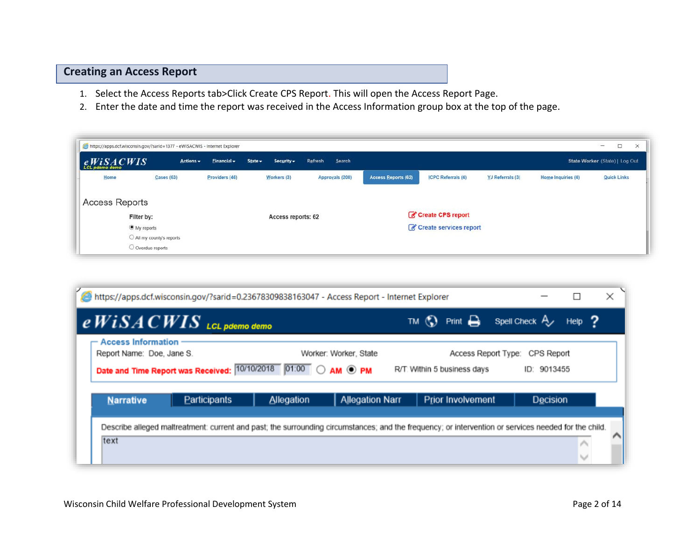## **Creating an Access Report**

- 1. Select the Access Reports tab>Click Create CPS Report. This will open the Access Report Page.
- 2. Enter the date and time the report was received in the Access Information group box at the top of the page.

| https://apps.dcf.wisconsin.gov/?sarid=1377 - eWiSACWIS - Internet Explorer |                                              |                   |                                  |                   |                            |                                             |                  |                    | $\qquad \qquad =$<br>$\Box$<br>$\times$ |
|----------------------------------------------------------------------------|----------------------------------------------|-------------------|----------------------------------|-------------------|----------------------------|---------------------------------------------|------------------|--------------------|-----------------------------------------|
| eWiSACWIS                                                                  | $Actions -$                                  | Financial $\star$ | State $\sim$<br>Security $\star$ | Search<br>Refresh |                            |                                             |                  |                    | State Worker (State)   Log Out          |
| Home                                                                       | <b>Cases (63)</b>                            | Providers (46)    | Workers (3)                      | Approvals (208)   | <b>Access Reports (62)</b> | <b>ICPC Referrals (4)</b>                   | YJ Referrals (3) | Home Inquiries (4) | <b>Quick Links</b>                      |
| <b>Access Reports</b>                                                      |                                              |                   |                                  |                   |                            |                                             |                  |                    |                                         |
| Filter by:<br>O My reports                                                 |                                              |                   | Access reports: 62               |                   |                            | Create CPS report<br>Create services report |                  |                    |                                         |
|                                                                            | All my county's reports<br>O Overdue reports |                   |                                  |                   |                            |                                             |                  |                    |                                         |

| https://apps.dcf.wisconsin.gov/?sarid=0.23678309838163047 - Access Report - Internet Explorer                                                                                                                                                     |              |            |                        |                          |          |  | × |
|---------------------------------------------------------------------------------------------------------------------------------------------------------------------------------------------------------------------------------------------------|--------------|------------|------------------------|--------------------------|----------|--|---|
| TM $\bigcirc$ Print $\bigcirc$<br>Spell Check A<br>$e$ $WiSA$ $C WIS$ LCL pdemo demo<br>Help $\overline{2}$                                                                                                                                       |              |            |                        |                          |          |  |   |
| $\leftarrow$ Access Information $\cdot$<br>Report Name: Doe, Jane S.<br>Worker: Worker, State<br>Access Report Type:<br>CPS Report<br>Date and Time Report was Received: 10/10/2018 01:00 O AM O PM<br>R/T: Within 5 business days<br>ID: 9013455 |              |            |                        |                          |          |  |   |
| <b>Narrative</b>                                                                                                                                                                                                                                  | Participants | Allegation | <b>Allegation Narr</b> | <b>Prior Involvement</b> | Decision |  |   |
| Describe alleged maltreatment: current and past; the surrounding circumstances; and the frequency; or intervention or services needed for the child.<br>text                                                                                      |              |            |                        |                          |          |  |   |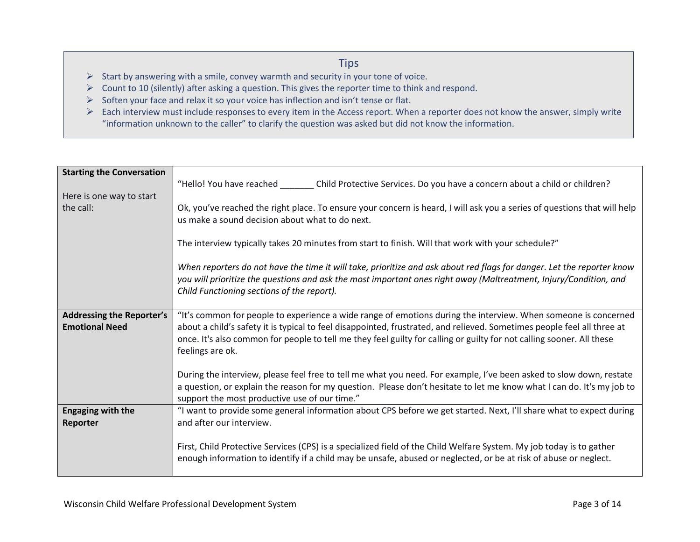## **Tips**

- $\triangleright$  Start by answering with a smile, convey warmth and security in your tone of voice.
- ➢ Count to 10 (silently) after asking a question. This gives the reporter time to think and respond.
- ➢ Soften your face and relax it so your voice has inflection and isn't tense or flat.
- ➢ Each interview must include responses to every item in the Access report. When a reporter does not know the answer, simply write "information unknown to the caller" to clarify the question was asked but did not know the information.

| <b>Starting the Conversation</b> |                                                                                                                          |
|----------------------------------|--------------------------------------------------------------------------------------------------------------------------|
|                                  | "Hello! You have reached ________ Child Protective Services. Do you have a concern about a child or children?            |
| Here is one way to start         |                                                                                                                          |
| the call:                        |                                                                                                                          |
|                                  | Ok, you've reached the right place. To ensure your concern is heard, I will ask you a series of questions that will help |
|                                  | us make a sound decision about what to do next.                                                                          |
|                                  |                                                                                                                          |
|                                  | The interview typically takes 20 minutes from start to finish. Will that work with your schedule?"                       |
|                                  |                                                                                                                          |
|                                  | When reporters do not have the time it will take, prioritize and ask about red flags for danger. Let the reporter know   |
|                                  | you will prioritize the questions and ask the most important ones right away (Maltreatment, Injury/Condition, and        |
|                                  | Child Functioning sections of the report).                                                                               |
|                                  |                                                                                                                          |
| <b>Addressing the Reporter's</b> | "It's common for people to experience a wide range of emotions during the interview. When someone is concerned           |
| <b>Emotional Need</b>            | about a child's safety it is typical to feel disappointed, frustrated, and relieved. Sometimes people feel all three at  |
|                                  | once. It's also common for people to tell me they feel guilty for calling or guilty for not calling sooner. All these    |
|                                  | feelings are ok.                                                                                                         |
|                                  |                                                                                                                          |
|                                  | During the interview, please feel free to tell me what you need. For example, I've been asked to slow down, restate      |
|                                  | a question, or explain the reason for my question. Please don't hesitate to let me know what I can do. It's my job to    |
|                                  |                                                                                                                          |
|                                  | support the most productive use of our time."                                                                            |
| <b>Engaging with the</b>         | "I want to provide some general information about CPS before we get started. Next, I'll share what to expect during      |
| Reporter                         | and after our interview.                                                                                                 |
|                                  |                                                                                                                          |
|                                  | First, Child Protective Services (CPS) is a specialized field of the Child Welfare System. My job today is to gather     |
|                                  | enough information to identify if a child may be unsafe, abused or neglected, or be at risk of abuse or neglect.         |
|                                  |                                                                                                                          |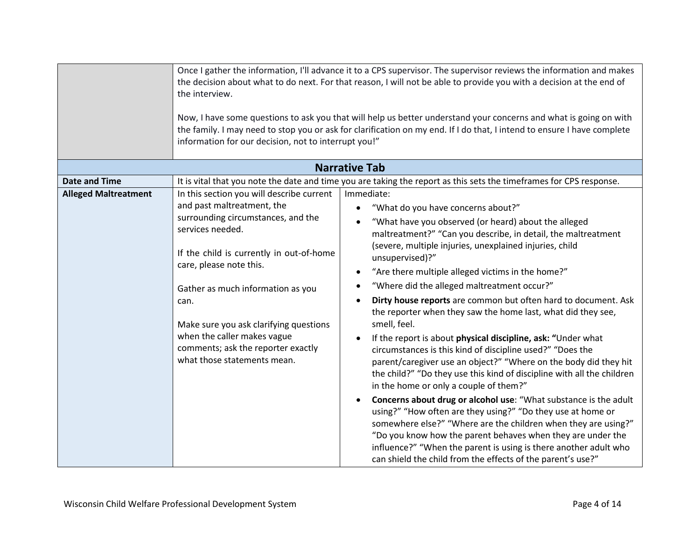|                             | Once I gather the information, I'll advance it to a CPS supervisor. The supervisor reviews the information and makes<br>the decision about what to do next. For that reason, I will not be able to provide you with a decision at the end of<br>the interview.<br>Now, I have some questions to ask you that will help us better understand your concerns and what is going on with<br>the family. I may need to stop you or ask for clarification on my end. If I do that, I intend to ensure I have complete<br>information for our decision, not to interrupt you!" |                                                                                                                                 |  |
|-----------------------------|------------------------------------------------------------------------------------------------------------------------------------------------------------------------------------------------------------------------------------------------------------------------------------------------------------------------------------------------------------------------------------------------------------------------------------------------------------------------------------------------------------------------------------------------------------------------|---------------------------------------------------------------------------------------------------------------------------------|--|
|                             |                                                                                                                                                                                                                                                                                                                                                                                                                                                                                                                                                                        | <b>Narrative Tab</b>                                                                                                            |  |
| <b>Date and Time</b>        |                                                                                                                                                                                                                                                                                                                                                                                                                                                                                                                                                                        | It is vital that you note the date and time you are taking the report as this sets the timeframes for CPS response.             |  |
| <b>Alleged Maltreatment</b> | In this section you will describe current                                                                                                                                                                                                                                                                                                                                                                                                                                                                                                                              | Immediate:                                                                                                                      |  |
|                             | and past maltreatment, the                                                                                                                                                                                                                                                                                                                                                                                                                                                                                                                                             | "What do you have concerns about?"                                                                                              |  |
|                             | surrounding circumstances, and the<br>services needed.                                                                                                                                                                                                                                                                                                                                                                                                                                                                                                                 | "What have you observed (or heard) about the alleged                                                                            |  |
|                             |                                                                                                                                                                                                                                                                                                                                                                                                                                                                                                                                                                        | maltreatment?" "Can you describe, in detail, the maltreatment                                                                   |  |
|                             | If the child is currently in out-of-home                                                                                                                                                                                                                                                                                                                                                                                                                                                                                                                               | (severe, multiple injuries, unexplained injuries, child                                                                         |  |
|                             | care, please note this.                                                                                                                                                                                                                                                                                                                                                                                                                                                                                                                                                | unsupervised)?"                                                                                                                 |  |
|                             |                                                                                                                                                                                                                                                                                                                                                                                                                                                                                                                                                                        | "Are there multiple alleged victims in the home?"                                                                               |  |
|                             | Gather as much information as you                                                                                                                                                                                                                                                                                                                                                                                                                                                                                                                                      | "Where did the alleged maltreatment occur?"                                                                                     |  |
|                             | can.                                                                                                                                                                                                                                                                                                                                                                                                                                                                                                                                                                   | Dirty house reports are common but often hard to document. Ask                                                                  |  |
|                             |                                                                                                                                                                                                                                                                                                                                                                                                                                                                                                                                                                        | the reporter when they saw the home last, what did they see,                                                                    |  |
|                             | Make sure you ask clarifying questions                                                                                                                                                                                                                                                                                                                                                                                                                                                                                                                                 | smell, feel.                                                                                                                    |  |
|                             | when the caller makes vague                                                                                                                                                                                                                                                                                                                                                                                                                                                                                                                                            | If the report is about physical discipline, ask: "Under what                                                                    |  |
|                             | comments; ask the reporter exactly                                                                                                                                                                                                                                                                                                                                                                                                                                                                                                                                     | circumstances is this kind of discipline used?" "Does the                                                                       |  |
|                             | what those statements mean.                                                                                                                                                                                                                                                                                                                                                                                                                                                                                                                                            | parent/caregiver use an object?" "Where on the body did they hit                                                                |  |
|                             |                                                                                                                                                                                                                                                                                                                                                                                                                                                                                                                                                                        | the child?" "Do they use this kind of discipline with all the children                                                          |  |
|                             |                                                                                                                                                                                                                                                                                                                                                                                                                                                                                                                                                                        | in the home or only a couple of them?"                                                                                          |  |
|                             |                                                                                                                                                                                                                                                                                                                                                                                                                                                                                                                                                                        | Concerns about drug or alcohol use: "What substance is the adult                                                                |  |
|                             |                                                                                                                                                                                                                                                                                                                                                                                                                                                                                                                                                                        | using?" "How often are they using?" "Do they use at home or                                                                     |  |
|                             |                                                                                                                                                                                                                                                                                                                                                                                                                                                                                                                                                                        | somewhere else?" "Where are the children when they are using?"                                                                  |  |
|                             |                                                                                                                                                                                                                                                                                                                                                                                                                                                                                                                                                                        | "Do you know how the parent behaves when they are under the                                                                     |  |
|                             |                                                                                                                                                                                                                                                                                                                                                                                                                                                                                                                                                                        | influence?" "When the parent is using is there another adult who<br>can shield the child from the effects of the parent's use?" |  |
|                             |                                                                                                                                                                                                                                                                                                                                                                                                                                                                                                                                                                        |                                                                                                                                 |  |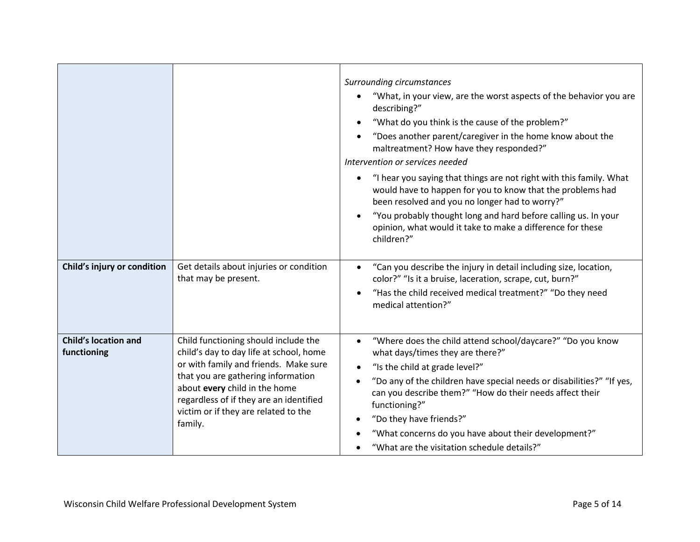|                                            |                                                                                                                                                                                                                                                                                               | Surrounding circumstances<br>"What, in your view, are the worst aspects of the behavior you are<br>describing?"<br>"What do you think is the cause of the problem?"<br>"Does another parent/caregiver in the home know about the<br>maltreatment? How have they responded?"<br>Intervention or services needed                                                                                                                                     |
|--------------------------------------------|-----------------------------------------------------------------------------------------------------------------------------------------------------------------------------------------------------------------------------------------------------------------------------------------------|----------------------------------------------------------------------------------------------------------------------------------------------------------------------------------------------------------------------------------------------------------------------------------------------------------------------------------------------------------------------------------------------------------------------------------------------------|
|                                            |                                                                                                                                                                                                                                                                                               | "I hear you saying that things are not right with this family. What<br>would have to happen for you to know that the problems had<br>been resolved and you no longer had to worry?"<br>"You probably thought long and hard before calling us. In your<br>opinion, what would it take to make a difference for these<br>children?"                                                                                                                  |
| Child's injury or condition                | Get details about injuries or condition<br>that may be present.                                                                                                                                                                                                                               | "Can you describe the injury in detail including size, location,<br>$\bullet$<br>color?" "Is it a bruise, laceration, scrape, cut, burn?"<br>"Has the child received medical treatment?" "Do they need<br>medical attention?"                                                                                                                                                                                                                      |
| <b>Child's location and</b><br>functioning | Child functioning should include the<br>child's day to day life at school, home<br>or with family and friends. Make sure<br>that you are gathering information<br>about every child in the home<br>regardless of if they are an identified<br>victim or if they are related to the<br>family. | "Where does the child attend school/daycare?" "Do you know<br>$\bullet$<br>what days/times they are there?"<br>"Is the child at grade level?"<br>$\bullet$<br>"Do any of the children have special needs or disabilities?" "If yes,<br>can you describe them?" "How do their needs affect their<br>functioning?"<br>"Do they have friends?"<br>"What concerns do you have about their development?"<br>"What are the visitation schedule details?" |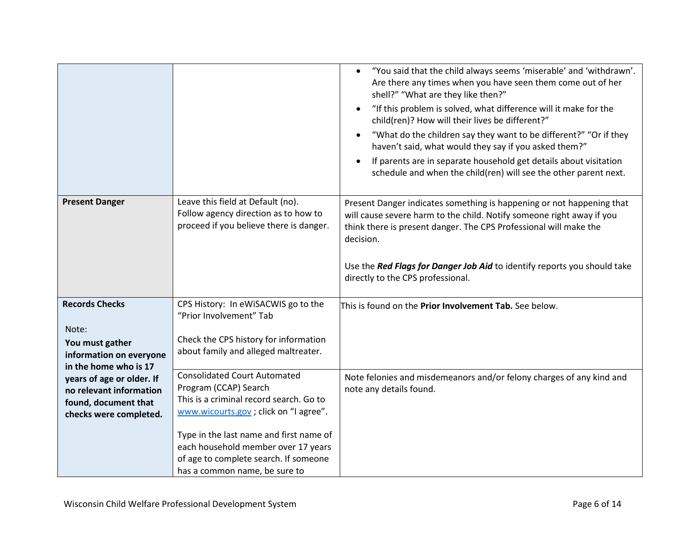|                                                                                                                                 |                                                                                                                                                                                                                                                                                                               | "You said that the child always seems 'miserable' and 'withdrawn'.<br>$\bullet$<br>Are there any times when you have seen them come out of her<br>shell?" "What are they like then?"<br>"If this problem is solved, what difference will it make for the<br>$\bullet$<br>child(ren)? How will their lives be different?"<br>"What do the children say they want to be different?" "Or if they<br>$\bullet$<br>haven't said, what would they say if you asked them?"<br>If parents are in separate household get details about visitation<br>$\bullet$<br>schedule and when the child(ren) will see the other parent next. |
|---------------------------------------------------------------------------------------------------------------------------------|---------------------------------------------------------------------------------------------------------------------------------------------------------------------------------------------------------------------------------------------------------------------------------------------------------------|---------------------------------------------------------------------------------------------------------------------------------------------------------------------------------------------------------------------------------------------------------------------------------------------------------------------------------------------------------------------------------------------------------------------------------------------------------------------------------------------------------------------------------------------------------------------------------------------------------------------------|
| <b>Present Danger</b>                                                                                                           | Leave this field at Default (no).<br>Follow agency direction as to how to<br>proceed if you believe there is danger.                                                                                                                                                                                          | Present Danger indicates something is happening or not happening that<br>will cause severe harm to the child. Notify someone right away if you<br>think there is present danger. The CPS Professional will make the<br>decision.<br>Use the Red Flags for Danger Job Aid to identify reports you should take<br>directly to the CPS professional.                                                                                                                                                                                                                                                                         |
| <b>Records Checks</b><br>Note:<br>You must gather<br>information on everyone                                                    | CPS History: In eWiSACWIS go to the<br>"Prior Involvement" Tab<br>Check the CPS history for information<br>about family and alleged maltreater.                                                                                                                                                               | This is found on the Prior Involvement Tab. See below.                                                                                                                                                                                                                                                                                                                                                                                                                                                                                                                                                                    |
| in the home who is 17<br>years of age or older. If<br>no relevant information<br>found, document that<br>checks were completed. | <b>Consolidated Court Automated</b><br>Program (CCAP) Search<br>This is a criminal record search. Go to<br>www.wicourts.gov ; click on "I agree".<br>Type in the last name and first name of<br>each household member over 17 years<br>of age to complete search. If someone<br>has a common name, be sure to | Note felonies and misdemeanors and/or felony charges of any kind and<br>note any details found.                                                                                                                                                                                                                                                                                                                                                                                                                                                                                                                           |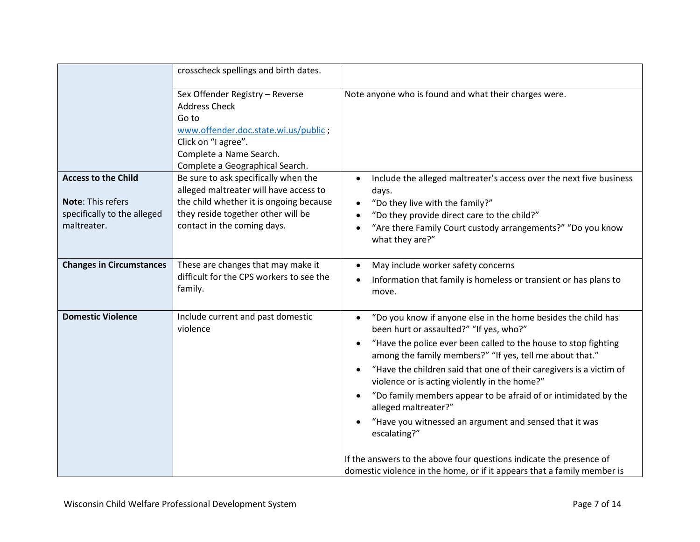|                                                                                                      | crosscheck spellings and birth dates.                                                                                                                                                          |                                                                                                                                                                                                                                                                                                                                                                                                                                                                                                                                                                                                                                                                 |
|------------------------------------------------------------------------------------------------------|------------------------------------------------------------------------------------------------------------------------------------------------------------------------------------------------|-----------------------------------------------------------------------------------------------------------------------------------------------------------------------------------------------------------------------------------------------------------------------------------------------------------------------------------------------------------------------------------------------------------------------------------------------------------------------------------------------------------------------------------------------------------------------------------------------------------------------------------------------------------------|
|                                                                                                      | Sex Offender Registry - Reverse<br><b>Address Check</b><br>Go to<br>www.offender.doc.state.wi.us/public;<br>Click on "I agree".<br>Complete a Name Search.<br>Complete a Geographical Search.  | Note anyone who is found and what their charges were.                                                                                                                                                                                                                                                                                                                                                                                                                                                                                                                                                                                                           |
| <b>Access to the Child</b><br><b>Note: This refers</b><br>specifically to the alleged<br>maltreater. | Be sure to ask specifically when the<br>alleged maltreater will have access to<br>the child whether it is ongoing because<br>they reside together other will be<br>contact in the coming days. | Include the alleged maltreater's access over the next five business<br>$\bullet$<br>days.<br>"Do they live with the family?"<br>$\bullet$<br>"Do they provide direct care to the child?"<br>$\bullet$<br>"Are there Family Court custody arrangements?" "Do you know<br>$\bullet$<br>what they are?"                                                                                                                                                                                                                                                                                                                                                            |
| <b>Changes in Circumstances</b>                                                                      | These are changes that may make it<br>difficult for the CPS workers to see the<br>family.                                                                                                      | May include worker safety concerns<br>$\bullet$<br>Information that family is homeless or transient or has plans to<br>$\bullet$<br>move.                                                                                                                                                                                                                                                                                                                                                                                                                                                                                                                       |
| <b>Domestic Violence</b>                                                                             | Include current and past domestic<br>violence                                                                                                                                                  | "Do you know if anyone else in the home besides the child has<br>$\bullet$<br>been hurt or assaulted?" "If yes, who?"<br>"Have the police ever been called to the house to stop fighting<br>$\bullet$<br>among the family members?" "If yes, tell me about that."<br>"Have the children said that one of their caregivers is a victim of<br>$\bullet$<br>violence or is acting violently in the home?"<br>"Do family members appear to be afraid of or intimidated by the<br>$\bullet$<br>alleged maltreater?"<br>"Have you witnessed an argument and sensed that it was<br>escalating?"<br>If the answers to the above four questions indicate the presence of |
|                                                                                                      |                                                                                                                                                                                                | domestic violence in the home, or if it appears that a family member is                                                                                                                                                                                                                                                                                                                                                                                                                                                                                                                                                                                         |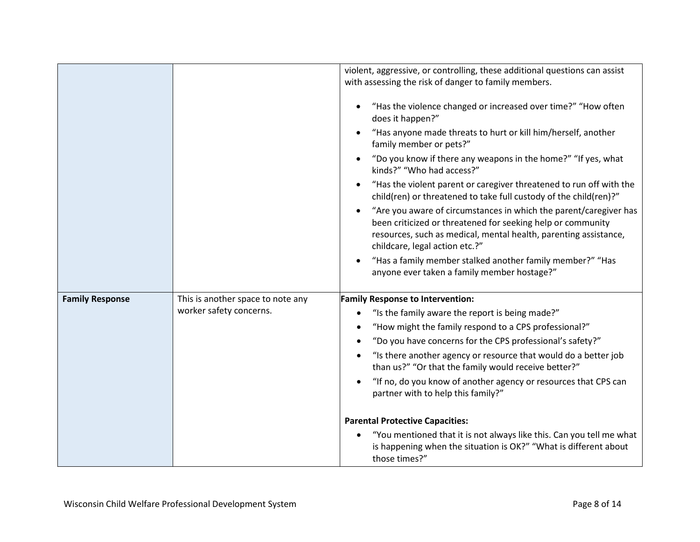|                        |                                   | violent, aggressive, or controlling, these additional questions can assist<br>with assessing the risk of danger to family members.                                                                                                                  |
|------------------------|-----------------------------------|-----------------------------------------------------------------------------------------------------------------------------------------------------------------------------------------------------------------------------------------------------|
|                        |                                   | "Has the violence changed or increased over time?" "How often<br>does it happen?"                                                                                                                                                                   |
|                        |                                   | "Has anyone made threats to hurt or kill him/herself, another<br>family member or pets?"                                                                                                                                                            |
|                        |                                   | "Do you know if there any weapons in the home?" "If yes, what<br>kinds?" "Who had access?"                                                                                                                                                          |
|                        |                                   | "Has the violent parent or caregiver threatened to run off with the<br>child(ren) or threatened to take full custody of the child(ren)?"                                                                                                            |
|                        |                                   | "Are you aware of circumstances in which the parent/caregiver has<br>$\bullet$<br>been criticized or threatened for seeking help or community<br>resources, such as medical, mental health, parenting assistance,<br>childcare, legal action etc.?" |
|                        |                                   | "Has a family member stalked another family member?" "Has<br>anyone ever taken a family member hostage?"                                                                                                                                            |
| <b>Family Response</b> | This is another space to note any | <b>Family Response to Intervention:</b>                                                                                                                                                                                                             |
|                        | worker safety concerns.           | "Is the family aware the report is being made?"<br>٠                                                                                                                                                                                                |
|                        |                                   | "How might the family respond to a CPS professional?"                                                                                                                                                                                               |
|                        |                                   | "Do you have concerns for the CPS professional's safety?"                                                                                                                                                                                           |
|                        |                                   | "Is there another agency or resource that would do a better job<br>than us?" "Or that the family would receive better?"                                                                                                                             |
|                        |                                   | "If no, do you know of another agency or resources that CPS can<br>partner with to help this family?"                                                                                                                                               |
|                        |                                   | <b>Parental Protective Capacities:</b>                                                                                                                                                                                                              |
|                        |                                   | "You mentioned that it is not always like this. Can you tell me what<br>$\bullet$<br>is happening when the situation is OK?" "What is different about<br>those times?"                                                                              |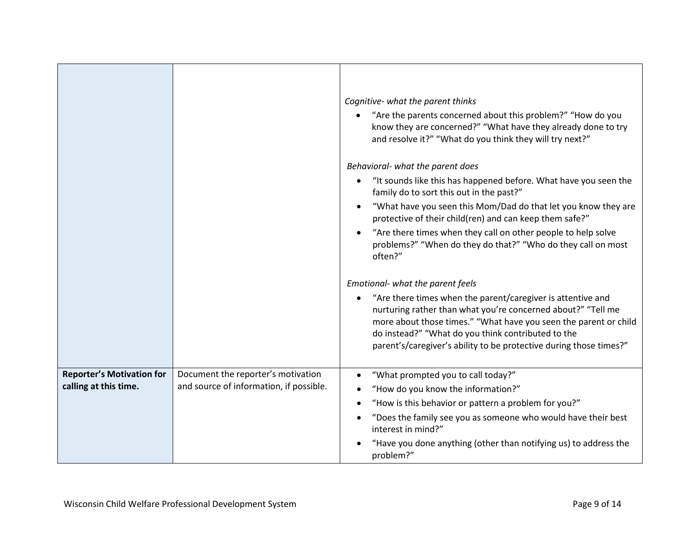|                                  |                                         | Cognitive- what the parent thinks<br>"Are the parents concerned about this problem?" "How do you<br>know they are concerned?" "What have they already done to try<br>and resolve it?" "What do you think they will try next?"                                                                                               |
|----------------------------------|-----------------------------------------|-----------------------------------------------------------------------------------------------------------------------------------------------------------------------------------------------------------------------------------------------------------------------------------------------------------------------------|
|                                  |                                         | Behavioral- what the parent does                                                                                                                                                                                                                                                                                            |
|                                  |                                         | "It sounds like this has happened before. What have you seen the<br>family do to sort this out in the past?"                                                                                                                                                                                                                |
|                                  |                                         | "What have you seen this Mom/Dad do that let you know they are<br>protective of their child(ren) and can keep them safe?"                                                                                                                                                                                                   |
|                                  |                                         | "Are there times when they call on other people to help solve<br>problems?" "When do they do that?" "Who do they call on most<br>often?"                                                                                                                                                                                    |
|                                  |                                         | Emotional- what the parent feels                                                                                                                                                                                                                                                                                            |
|                                  |                                         | "Are there times when the parent/caregiver is attentive and<br>nurturing rather than what you're concerned about?" "Tell me<br>more about those times." "What have you seen the parent or child<br>do instead?" "What do you think contributed to the<br>parent's/caregiver's ability to be protective during those times?" |
| <b>Reporter's Motivation for</b> | Document the reporter's motivation      | "What prompted you to call today?"                                                                                                                                                                                                                                                                                          |
| calling at this time.            | and source of information, if possible. | "How do you know the information?"                                                                                                                                                                                                                                                                                          |
|                                  |                                         | "How is this behavior or pattern a problem for you?"                                                                                                                                                                                                                                                                        |
|                                  |                                         | "Does the family see you as someone who would have their best<br>interest in mind?"                                                                                                                                                                                                                                         |
|                                  |                                         | "Have you done anything (other than notifying us) to address the<br>problem?"                                                                                                                                                                                                                                               |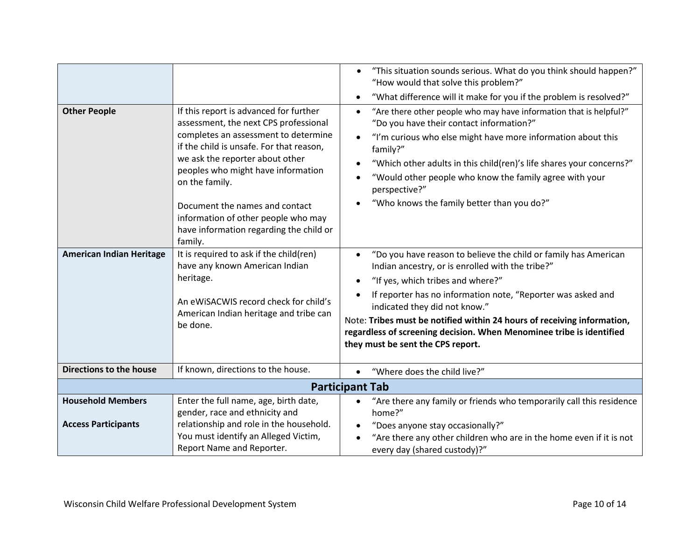| <b>Other People</b><br><b>American Indian Heritage</b> | If this report is advanced for further<br>assessment, the next CPS professional<br>completes an assessment to determine<br>if the child is unsafe. For that reason,<br>we ask the reporter about other<br>peoples who might have information<br>on the family.<br>Document the names and contact<br>information of other people who may<br>have information regarding the child or<br>family.<br>It is required to ask if the child(ren)<br>have any known American Indian<br>heritage.<br>An eWiSACWIS record check for child's<br>American Indian heritage and tribe can<br>be done. | "This situation sounds serious. What do you think should happen?"<br>$\bullet$<br>"How would that solve this problem?"<br>"What difference will it make for you if the problem is resolved?"<br>٠<br>"Are there other people who may have information that is helpful?"<br>$\bullet$<br>"Do you have their contact information?"<br>"I'm curious who else might have more information about this<br>$\bullet$<br>family?"<br>"Which other adults in this child(ren)'s life shares your concerns?"<br>"Would other people who know the family agree with your<br>perspective?"<br>"Who knows the family better than you do?"<br>"Do you have reason to believe the child or family has American<br>$\bullet$<br>Indian ancestry, or is enrolled with the tribe?"<br>"If yes, which tribes and where?"<br>$\bullet$<br>If reporter has no information note, "Reporter was asked and<br>indicated they did not know."<br>Note: Tribes must be notified within 24 hours of receiving information,<br>regardless of screening decision. When Menominee tribe is identified |
|--------------------------------------------------------|----------------------------------------------------------------------------------------------------------------------------------------------------------------------------------------------------------------------------------------------------------------------------------------------------------------------------------------------------------------------------------------------------------------------------------------------------------------------------------------------------------------------------------------------------------------------------------------|-----------------------------------------------------------------------------------------------------------------------------------------------------------------------------------------------------------------------------------------------------------------------------------------------------------------------------------------------------------------------------------------------------------------------------------------------------------------------------------------------------------------------------------------------------------------------------------------------------------------------------------------------------------------------------------------------------------------------------------------------------------------------------------------------------------------------------------------------------------------------------------------------------------------------------------------------------------------------------------------------------------------------------------------------------------------------|
|                                                        |                                                                                                                                                                                                                                                                                                                                                                                                                                                                                                                                                                                        | they must be sent the CPS report.                                                                                                                                                                                                                                                                                                                                                                                                                                                                                                                                                                                                                                                                                                                                                                                                                                                                                                                                                                                                                                     |
| Directions to the house                                | If known, directions to the house.                                                                                                                                                                                                                                                                                                                                                                                                                                                                                                                                                     | "Where does the child live?"<br>$\bullet$                                                                                                                                                                                                                                                                                                                                                                                                                                                                                                                                                                                                                                                                                                                                                                                                                                                                                                                                                                                                                             |
|                                                        |                                                                                                                                                                                                                                                                                                                                                                                                                                                                                                                                                                                        | <b>Participant Tab</b>                                                                                                                                                                                                                                                                                                                                                                                                                                                                                                                                                                                                                                                                                                                                                                                                                                                                                                                                                                                                                                                |
| <b>Household Members</b>                               | Enter the full name, age, birth date,<br>gender, race and ethnicity and                                                                                                                                                                                                                                                                                                                                                                                                                                                                                                                | "Are there any family or friends who temporarily call this residence<br>$\bullet$<br>home?"                                                                                                                                                                                                                                                                                                                                                                                                                                                                                                                                                                                                                                                                                                                                                                                                                                                                                                                                                                           |
| <b>Access Participants</b>                             | relationship and role in the household.<br>You must identify an Alleged Victim,<br>Report Name and Reporter.                                                                                                                                                                                                                                                                                                                                                                                                                                                                           | "Does anyone stay occasionally?"<br>$\bullet$<br>"Are there any other children who are in the home even if it is not<br>every day (shared custody)?"                                                                                                                                                                                                                                                                                                                                                                                                                                                                                                                                                                                                                                                                                                                                                                                                                                                                                                                  |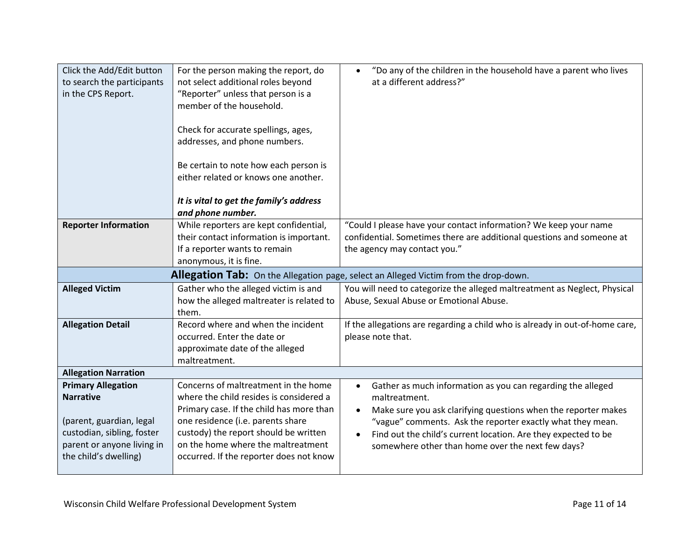| Click the Add/Edit button<br>to search the participants<br>in the CPS Report.                                                                                  | For the person making the report, do<br>not select additional roles beyond<br>"Reporter" unless that person is a<br>member of the household.<br>Check for accurate spellings, ages,<br>addresses, and phone numbers.<br>Be certain to note how each person is<br>either related or knows one another.<br>It is vital to get the family's address<br>and phone number. | "Do any of the children in the household have a parent who lives<br>$\bullet$<br>at a different address?"                                                                                                                                                                                                                                                     |
|----------------------------------------------------------------------------------------------------------------------------------------------------------------|-----------------------------------------------------------------------------------------------------------------------------------------------------------------------------------------------------------------------------------------------------------------------------------------------------------------------------------------------------------------------|---------------------------------------------------------------------------------------------------------------------------------------------------------------------------------------------------------------------------------------------------------------------------------------------------------------------------------------------------------------|
| <b>Reporter Information</b>                                                                                                                                    | While reporters are kept confidential,<br>their contact information is important.<br>If a reporter wants to remain<br>anonymous, it is fine.                                                                                                                                                                                                                          | "Could I please have your contact information? We keep your name<br>confidential. Sometimes there are additional questions and someone at<br>the agency may contact you."                                                                                                                                                                                     |
|                                                                                                                                                                |                                                                                                                                                                                                                                                                                                                                                                       | Allegation Tab: On the Allegation page, select an Alleged Victim from the drop-down.                                                                                                                                                                                                                                                                          |
| <b>Alleged Victim</b>                                                                                                                                          | Gather who the alleged victim is and<br>how the alleged maltreater is related to<br>them.                                                                                                                                                                                                                                                                             | You will need to categorize the alleged maltreatment as Neglect, Physical<br>Abuse, Sexual Abuse or Emotional Abuse.                                                                                                                                                                                                                                          |
| <b>Allegation Detail</b>                                                                                                                                       | Record where and when the incident<br>occurred. Enter the date or<br>approximate date of the alleged<br>maltreatment.                                                                                                                                                                                                                                                 | If the allegations are regarding a child who is already in out-of-home care,<br>please note that.                                                                                                                                                                                                                                                             |
| <b>Allegation Narration</b>                                                                                                                                    |                                                                                                                                                                                                                                                                                                                                                                       |                                                                                                                                                                                                                                                                                                                                                               |
| <b>Primary Allegation</b><br><b>Narrative</b><br>(parent, guardian, legal<br>custodian, sibling, foster<br>parent or anyone living in<br>the child's dwelling) | Concerns of maltreatment in the home<br>where the child resides is considered a<br>Primary case. If the child has more than<br>one residence (i.e. parents share<br>custody) the report should be written<br>on the home where the maltreatment<br>occurred. If the reporter does not know                                                                            | Gather as much information as you can regarding the alleged<br>$\bullet$<br>maltreatment.<br>Make sure you ask clarifying questions when the reporter makes<br>$\bullet$<br>"vague" comments. Ask the reporter exactly what they mean.<br>Find out the child's current location. Are they expected to be<br>somewhere other than home over the next few days? |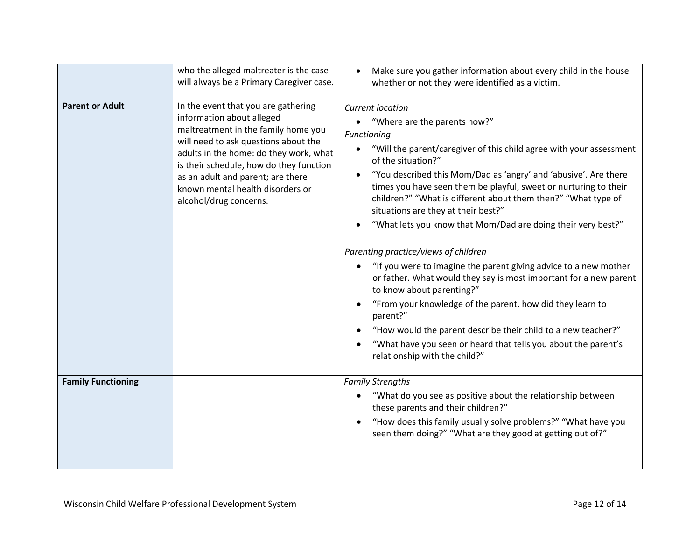|                           | who the alleged maltreater is the case<br>will always be a Primary Caregiver case.                                                                                                                                                                                                                                                      | Make sure you gather information about every child in the house<br>whether or not they were identified as a victim.                                                                                                                                                                                                                                                                                                                                                                                                                                                                                                                                                                                                                                                                                                                                                                                                                                                     |
|---------------------------|-----------------------------------------------------------------------------------------------------------------------------------------------------------------------------------------------------------------------------------------------------------------------------------------------------------------------------------------|-------------------------------------------------------------------------------------------------------------------------------------------------------------------------------------------------------------------------------------------------------------------------------------------------------------------------------------------------------------------------------------------------------------------------------------------------------------------------------------------------------------------------------------------------------------------------------------------------------------------------------------------------------------------------------------------------------------------------------------------------------------------------------------------------------------------------------------------------------------------------------------------------------------------------------------------------------------------------|
| <b>Parent or Adult</b>    | In the event that you are gathering<br>information about alleged<br>maltreatment in the family home you<br>will need to ask questions about the<br>adults in the home: do they work, what<br>is their schedule, how do they function<br>as an adult and parent; are there<br>known mental health disorders or<br>alcohol/drug concerns. | <b>Current location</b><br>"Where are the parents now?"<br>Functioning<br>"Will the parent/caregiver of this child agree with your assessment<br>$\bullet$<br>of the situation?"<br>"You described this Mom/Dad as 'angry' and 'abusive'. Are there<br>times you have seen them be playful, sweet or nurturing to their<br>children?" "What is different about them then?" "What type of<br>situations are they at their best?"<br>"What lets you know that Mom/Dad are doing their very best?"<br>Parenting practice/views of children<br>"If you were to imagine the parent giving advice to a new mother<br>$\bullet$<br>or father. What would they say is most important for a new parent<br>to know about parenting?"<br>"From your knowledge of the parent, how did they learn to<br>parent?"<br>"How would the parent describe their child to a new teacher?"<br>"What have you seen or heard that tells you about the parent's<br>relationship with the child?" |
| <b>Family Functioning</b> |                                                                                                                                                                                                                                                                                                                                         | <b>Family Strengths</b><br>"What do you see as positive about the relationship between<br>these parents and their children?"<br>"How does this family usually solve problems?" "What have you<br>seen them doing?" "What are they good at getting out of?"                                                                                                                                                                                                                                                                                                                                                                                                                                                                                                                                                                                                                                                                                                              |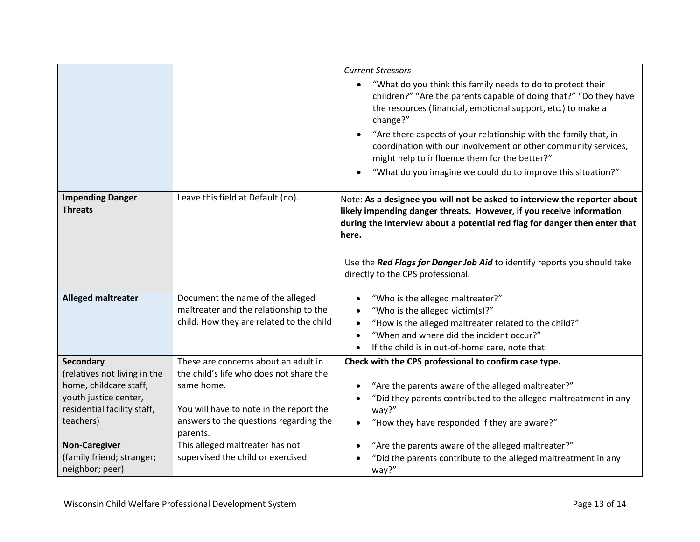|                                                        |                                                                                    | <b>Current Stressors</b><br>"What do you think this family needs to do to protect their                                                                                                                                                  |
|--------------------------------------------------------|------------------------------------------------------------------------------------|------------------------------------------------------------------------------------------------------------------------------------------------------------------------------------------------------------------------------------------|
|                                                        |                                                                                    | children?" "Are the parents capable of doing that?" "Do they have<br>the resources (financial, emotional support, etc.) to make a<br>change?"                                                                                            |
|                                                        |                                                                                    | "Are there aspects of your relationship with the family that, in<br>coordination with our involvement or other community services,<br>might help to influence them for the better?"                                                      |
|                                                        |                                                                                    | "What do you imagine we could do to improve this situation?"                                                                                                                                                                             |
| <b>Impending Danger</b><br><b>Threats</b>              | Leave this field at Default (no).                                                  | Note: As a designee you will not be asked to interview the reporter about<br>likely impending danger threats. However, if you receive information<br>during the interview about a potential red flag for danger then enter that<br>here. |
|                                                        |                                                                                    | Use the Red Flags for Danger Job Aid to identify reports you should take<br>directly to the CPS professional.                                                                                                                            |
| <b>Alleged maltreater</b>                              | Document the name of the alleged                                                   | "Who is the alleged maltreater?"<br>$\bullet$                                                                                                                                                                                            |
|                                                        | maltreater and the relationship to the<br>child. How they are related to the child | "Who is the alleged victim(s)?"<br>$\bullet$<br>"How is the alleged maltreater related to the child?"<br>$\bullet$                                                                                                                       |
|                                                        |                                                                                    | "When and where did the incident occur?"                                                                                                                                                                                                 |
|                                                        |                                                                                    | If the child is in out-of-home care, note that.<br>$\bullet$                                                                                                                                                                             |
| Secondary                                              | These are concerns about an adult in                                               | Check with the CPS professional to confirm case type.                                                                                                                                                                                    |
| (relatives not living in the<br>home, childcare staff, | the child's life who does not share the<br>same home.                              | "Are the parents aware of the alleged maltreater?"                                                                                                                                                                                       |
| youth justice center,                                  |                                                                                    | "Did they parents contributed to the alleged maltreatment in any                                                                                                                                                                         |
| residential facility staff,                            | You will have to note in the report the                                            | way?"                                                                                                                                                                                                                                    |
| teachers)                                              | answers to the questions regarding the<br>parents.                                 | "How they have responded if they are aware?"                                                                                                                                                                                             |
| <b>Non-Caregiver</b>                                   | This alleged maltreater has not                                                    | "Are the parents aware of the alleged maltreater?"<br>$\bullet$                                                                                                                                                                          |
| (family friend; stranger;<br>neighbor; peer)           | supervised the child or exercised                                                  | "Did the parents contribute to the alleged maltreatment in any<br>way?"                                                                                                                                                                  |